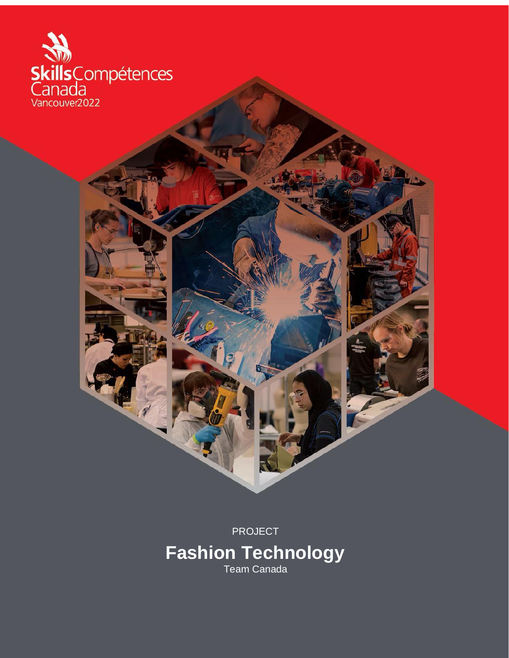

PROJECT **Fashion Technology** Team Canada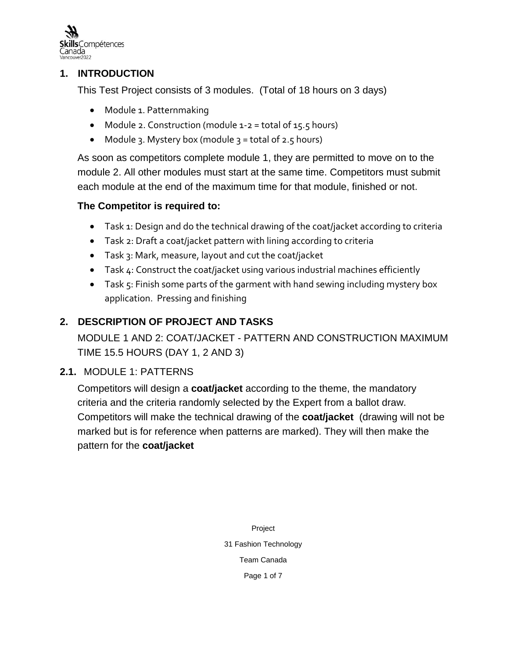

### **1. INTRODUCTION**

This Test Project consists of 3 modules. (Total of 18 hours on 3 days)

- Module 1. Patternmaking
- Module 2. Construction (module  $1-2$  = total of  $15.5$  hours)
- Module 3. Mystery box (module  $3 =$  total of 2.5 hours)

As soon as competitors complete module 1, they are permitted to move on to the module 2. All other modules must start at the same time. Competitors must submit each module at the end of the maximum time for that module, finished or not.

#### **The Competitor is required to:**

- Task 1: Design and do the technical drawing of the coat/jacket according to criteria
- Task 2: Draft a coat/jacket pattern with lining according to criteria
- Task 3: Mark, measure, layout and cut the coat/jacket
- Task 4: Construct the coat/jacket using various industrial machines efficiently
- Task 5: Finish some parts of the garment with hand sewing including mystery box application. Pressing and finishing

### **2. DESCRIPTION OF PROJECT AND TASKS**

MODULE 1 AND 2: COAT/JACKET - PATTERN AND CONSTRUCTION MAXIMUM TIME 15.5 HOURS (DAY 1, 2 AND 3)

### 2.1. MODULE 1: PATTERNS

Competitors will design a **coat/jacket** according to the theme, the mandatory criteria and the criteria randomly selected by the Expert from a ballot draw. Competitors will make the technical drawing of the **coat/jacket** (drawing will not be marked but is for reference when patterns are marked). They will then make the pattern for the **coat/jacket**

> Project 31 Fashion Technology Team Canada Page 1 of 7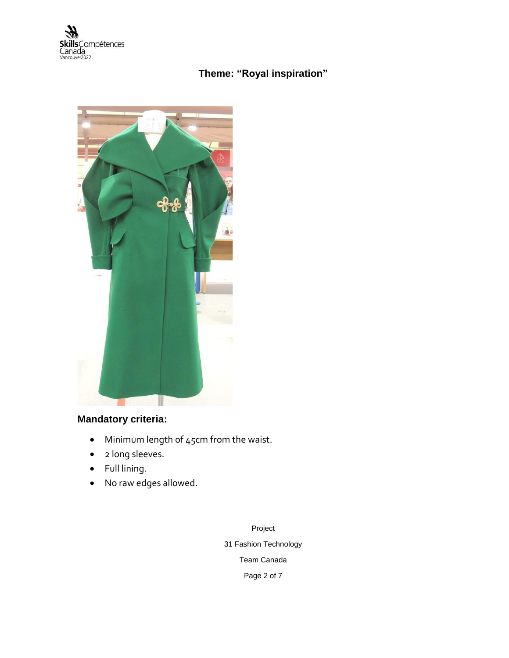

# **Theme: "Royal inspiration"**



# **Mandatory criteria:**

- Minimum length of 45cm from the waist.
- 2 long sleeves.
- Full lining.
- No raw edges allowed.

Project 31 Fashion Technology Team Canada Page 2 of 7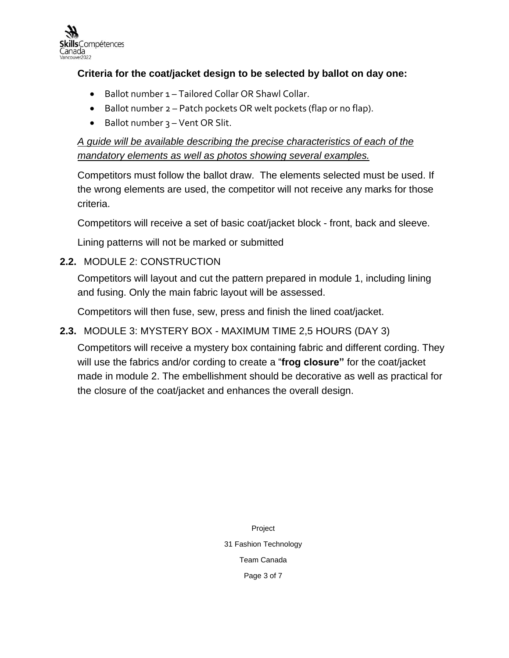

## **Criteria for the coat/jacket design to be selected by ballot on day one:**

- Ballot number 1 Tailored Collar OR Shawl Collar.
- Ballot number 2 Patch pockets OR welt pockets (flap or no flap).
- $\bullet$  Ballot number  $3$  Vent OR Slit.

## *A guide will be available describing the precise characteristics of each of the mandatory elements as well as photos showing several examples.*

Competitors must follow the ballot draw. The elements selected must be used. If the wrong elements are used, the competitor will not receive any marks for those criteria.

Competitors will receive a set of basic coat/jacket block - front, back and sleeve.

Lining patterns will not be marked or submitted

### **2.2.** MODULE 2: CONSTRUCTION

Competitors will layout and cut the pattern prepared in module 1, including lining and fusing. Only the main fabric layout will be assessed.

Competitors will then fuse, sew, press and finish the lined coat/jacket.

### **2.3.** MODULE 3: MYSTERY BOX - MAXIMUM TIME 2,5 HOURS (DAY 3)

Competitors will receive a mystery box containing fabric and different cording. They will use the fabrics and/or cording to create a "**frog closure"** for the coat/jacket made in module 2. The embellishment should be decorative as well as practical for the closure of the coat/jacket and enhances the overall design.

> Project 31 Fashion Technology Team Canada Page 3 of 7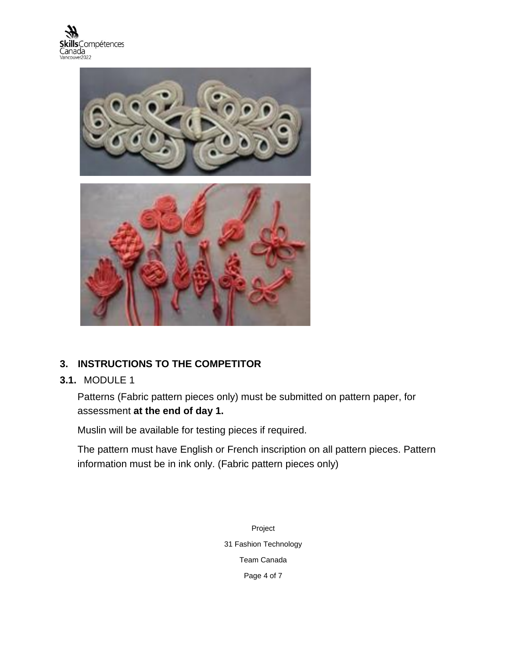



## **3. INSTRUCTIONS TO THE COMPETITOR**

#### **3.1.** MODULE 1

Patterns (Fabric pattern pieces only) must be submitted on pattern paper, for assessment **at the end of day 1.**

Muslin will be available for testing pieces if required.

The pattern must have English or French inscription on all pattern pieces. Pattern information must be in ink only. (Fabric pattern pieces only)

> Project 31 Fashion Technology Team Canada Page 4 of 7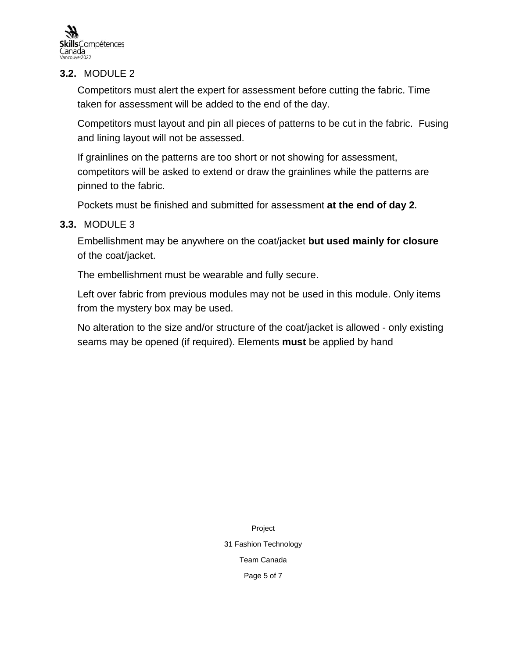

#### **3.2.** MODULE 2

Competitors must alert the expert for assessment before cutting the fabric. Time taken for assessment will be added to the end of the day.

Competitors must layout and pin all pieces of patterns to be cut in the fabric. Fusing and lining layout will not be assessed.

If grainlines on the patterns are too short or not showing for assessment, competitors will be asked to extend or draw the grainlines while the patterns are pinned to the fabric.

Pockets must be finished and submitted for assessment **at the end of day 2.**

#### **3.3.** MODULE 3

Embellishment may be anywhere on the coat/jacket **but used mainly for closure** of the coat/jacket.

The embellishment must be wearable and fully secure.

Left over fabric from previous modules may not be used in this module. Only items from the mystery box may be used.

No alteration to the size and/or structure of the coat/jacket is allowed - only existing seams may be opened (if required). Elements **must** be applied by hand

> Project 31 Fashion Technology Team Canada Page 5 of 7